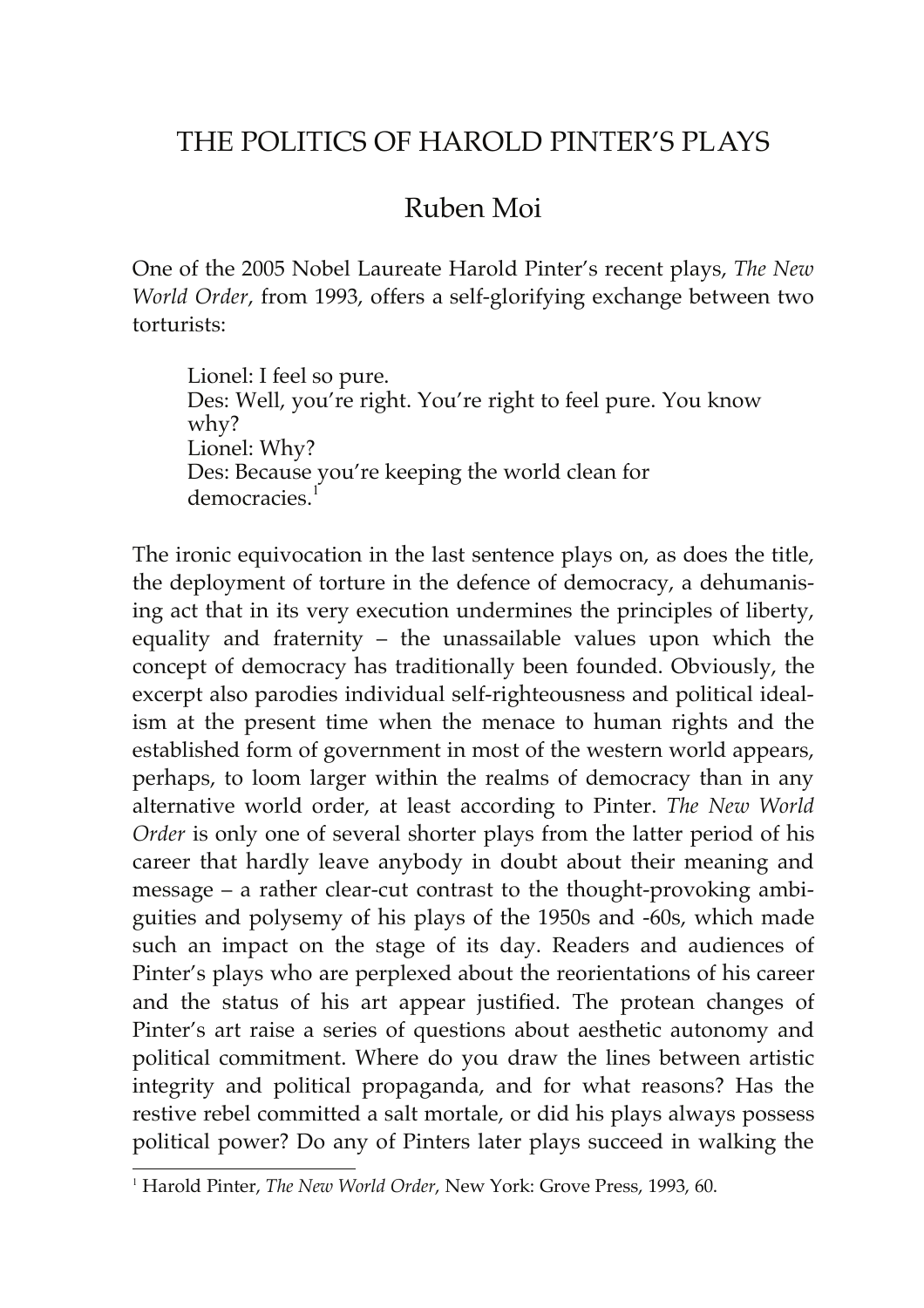## THE POLITICS OF HAROLD PINTER'S PLAYS

## Ruben Moi

One of the 2005 Nobel Laureate Harold Pinter's recent plays, *The New World Order*, from 1993, offers a self-glorifying exchange between two torturists:

Lionel: I feel so pure. Des: Well, you're right. You're right to feel pure. You know why? Lionel: Why? Des: Because you're keeping the world clean for democracies $<sup>1</sup>$ </sup>

The ironic equivocation in the last sentence plays on, as does the title, the deployment of torture in the defence of democracy, a dehumanising act that in its very execution undermines the principles of liberty, equality and fraternity – the unassailable values upon which the concept of democracy has traditionally been founded. Obviously, the excerpt also parodies individual self-righteousness and political idealism at the present time when the menace to human rights and the established form of government in most of the western world appears, perhaps, to loom larger within the realms of democracy than in any alternative world order, at least according to Pinter. *The New World Order* is only one of several shorter plays from the latter period of his career that hardly leave anybody in doubt about their meaning and message – a rather clear-cut contrast to the thought-provoking ambiguities and polysemy of his plays of the 1950s and -60s, which made such an impact on the stage of its day. Readers and audiences of Pinter's plays who are perplexed about the reorientations of his career and the status of his art appear justified. The protean changes of Pinter's art raise a series of questions about aesthetic autonomy and political commitment. Where do you draw the lines between artistic integrity and political propaganda, and for what reasons? Has the restive rebel committed a salt mortale, or did his plays always possess political power? Do any of Pinters later plays succeed in walking the

 $\overline{a}$ 1 Harold Pinter, *The New World Order*, New York: Grove Press, 1993, 60.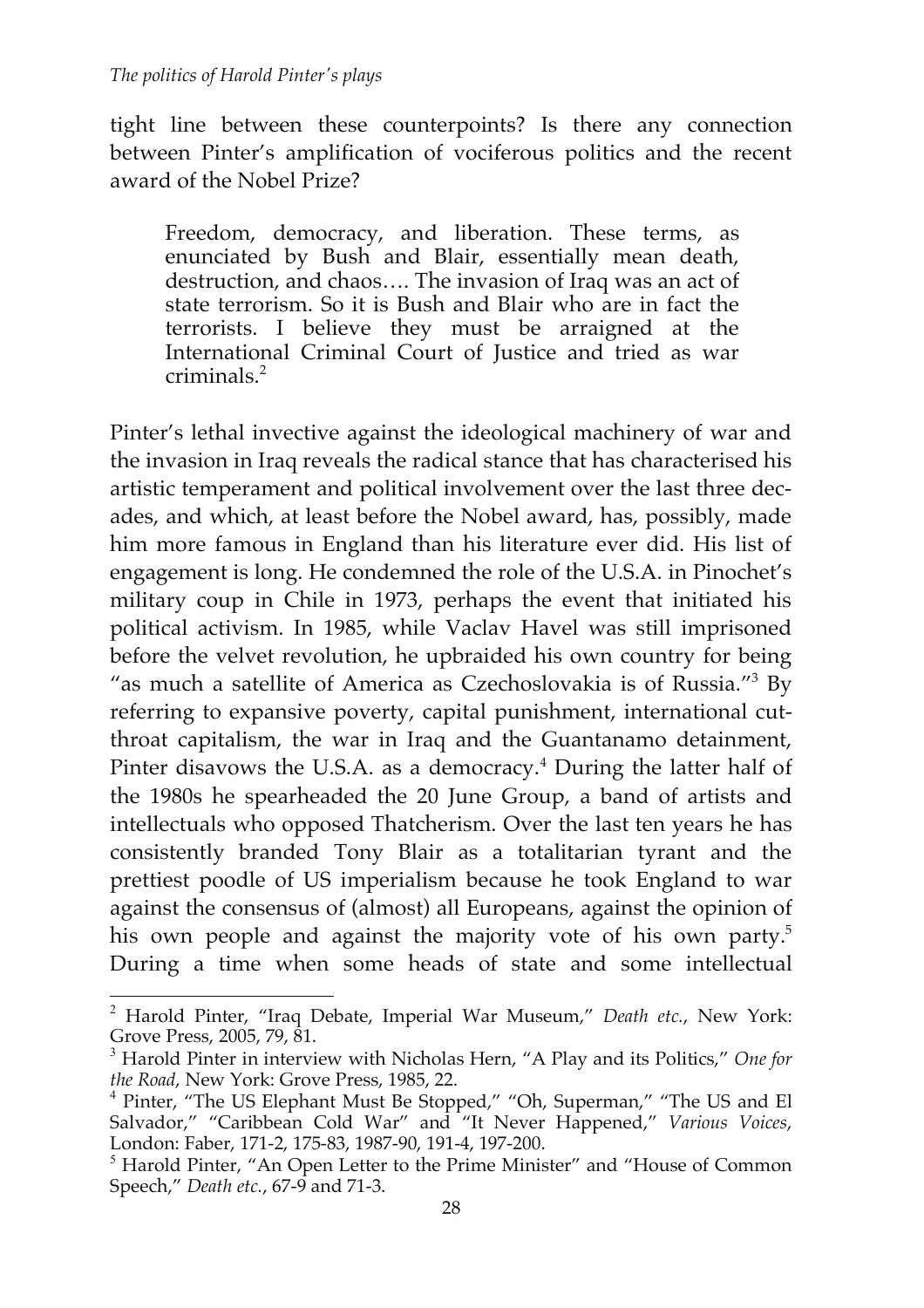tight line between these counterpoints? Is there any connection between Pinter's amplification of vociferous politics and the recent award of the Nobel Prize?

Freedom, democracy, and liberation. These terms, as enunciated by Bush and Blair, essentially mean death, destruction, and chaos…. The invasion of Iraq was an act of state terrorism. So it is Bush and Blair who are in fact the terrorists. I believe they must be arraigned at the International Criminal Court of Justice and tried as war criminals.2

Pinter's lethal invective against the ideological machinery of war and the invasion in Iraq reveals the radical stance that has characterised his artistic temperament and political involvement over the last three decades, and which, at least before the Nobel award, has, possibly, made him more famous in England than his literature ever did. His list of engagement is long. He condemned the role of the U.S.A. in Pinochet's military coup in Chile in 1973, perhaps the event that initiated his political activism. In 1985, while Vaclav Havel was still imprisoned before the velvet revolution, he upbraided his own country for being "as much a satellite of America as Czechoslovakia is of Russia."<sup>3</sup> By referring to expansive poverty, capital punishment, international cutthroat capitalism, the war in Iraq and the Guantanamo detainment, Pinter disavows the U.S.A. as a democracy.<sup>4</sup> During the latter half of the 1980s he spearheaded the 20 June Group, a band of artists and intellectuals who opposed Thatcherism. Over the last ten years he has consistently branded Tony Blair as a totalitarian tyrant and the prettiest poodle of US imperialism because he took England to war against the consensus of (almost) all Europeans, against the opinion of his own people and against the majority vote of his own party.<sup>5</sup> During a time when some heads of state and some intellectual

 2 Harold Pinter, "Iraq Debate, Imperial War Museum," *Death etc.*, New York: Grove Press, 2005, 79, 81.

<sup>3</sup> Harold Pinter in interview with Nicholas Hern, "A Play and its Politics," *One for the Road*, New York: Grove Press, 1985, 22.

<sup>&</sup>lt;sup>4</sup> Pinter, "The US Elephant Must Be Stopped," "Oh, Superman," "The US and El Salvador," "Caribbean Cold War" and "It Never Happened," *Various Voices*, London: Faber, 171-2, 175-83, 1987-90, 191-4, 197-200.

<sup>&</sup>lt;sup>5</sup> Harold Pinter, "An Open Letter to the Prime Minister" and "House of Common Speech," *Death etc.*, 67-9 and 71-3.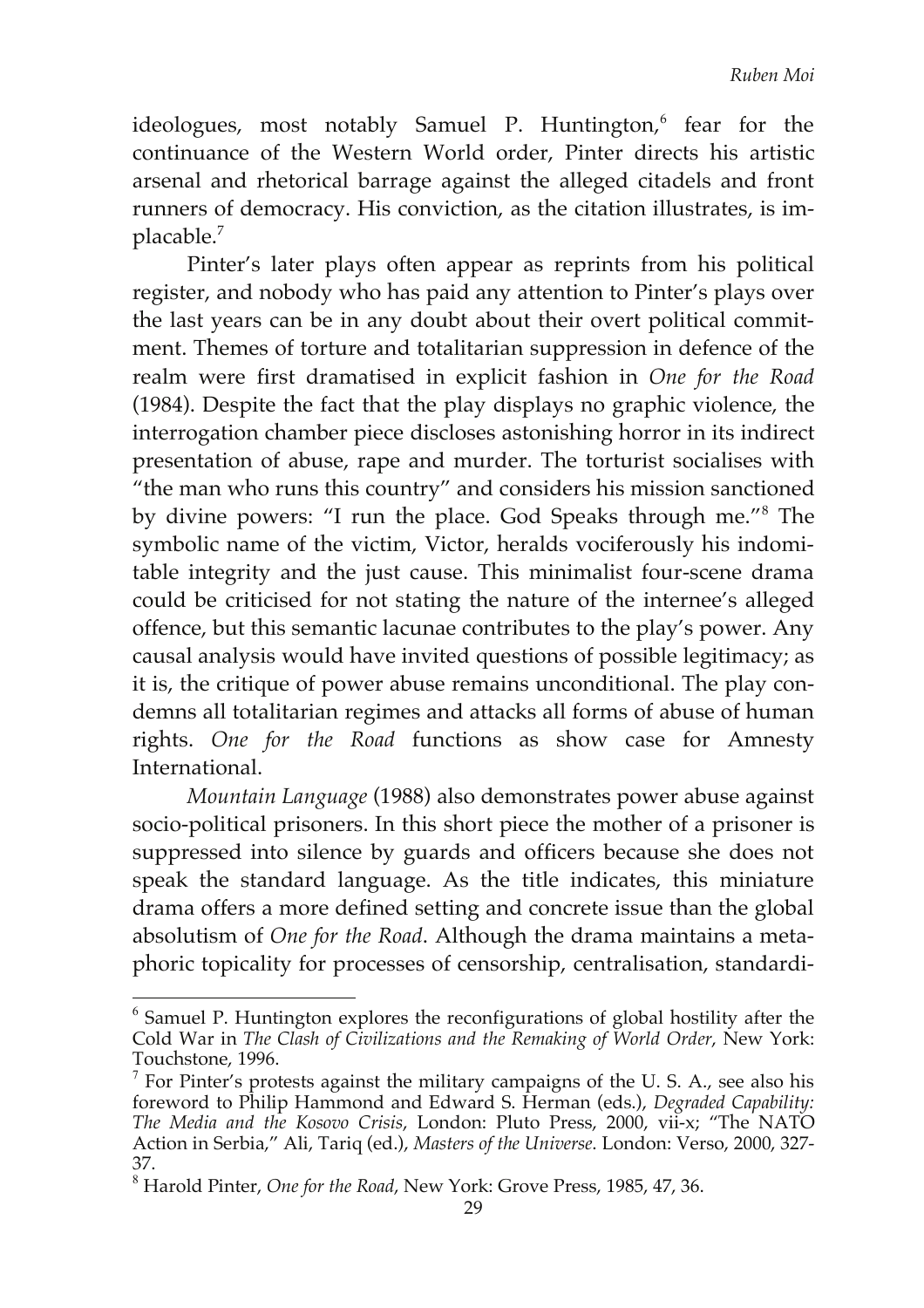ideologues, most notably Samuel P. Huntington,<sup>6</sup> fear for the continuance of the Western World order, Pinter directs his artistic arsenal and rhetorical barrage against the alleged citadels and front runners of democracy. His conviction, as the citation illustrates, is implacable.7

Pinter's later plays often appear as reprints from his political register, and nobody who has paid any attention to Pinter's plays over the last years can be in any doubt about their overt political commitment. Themes of torture and totalitarian suppression in defence of the realm were first dramatised in explicit fashion in *One for the Road* (1984). Despite the fact that the play displays no graphic violence, the interrogation chamber piece discloses astonishing horror in its indirect presentation of abuse, rape and murder. The torturist socialises with "the man who runs this country" and considers his mission sanctioned by divine powers: "I run the place. God Speaks through me."8 The symbolic name of the victim, Victor, heralds vociferously his indomitable integrity and the just cause. This minimalist four-scene drama could be criticised for not stating the nature of the internee's alleged offence, but this semantic lacunae contributes to the play's power. Any causal analysis would have invited questions of possible legitimacy; as it is, the critique of power abuse remains unconditional. The play condemns all totalitarian regimes and attacks all forms of abuse of human rights. *One for the Road* functions as show case for Amnesty International.

*Mountain Language* (1988) also demonstrates power abuse against socio-political prisoners. In this short piece the mother of a prisoner is suppressed into silence by guards and officers because she does not speak the standard language. As the title indicates, this miniature drama offers a more defined setting and concrete issue than the global absolutism of *One for the Road*. Although the drama maintains a metaphoric topicality for processes of censorship, centralisation, standardi-

 $6$  Samuel P. Huntington explores the reconfigurations of global hostility after the Cold War in *The Clash of Civilizations and the Remaking of World Order*, New York: Touchstone, 1996.

 $7$  For Pinter's protests against the military campaigns of the U.S. A., see also his foreword to Philip Hammond and Edward S. Herman (eds.), *Degraded Capability: The Media and the Kosovo Crisis*, London: Pluto Press, 2000, vii-x; "The NATO Action in Serbia," Ali, Tariq (ed.), *Masters of the Universe*. London: Verso, 2000, 327- 37.

<sup>8</sup> Harold Pinter, *One for the Road*, New York: Grove Press, 1985, 47, 36.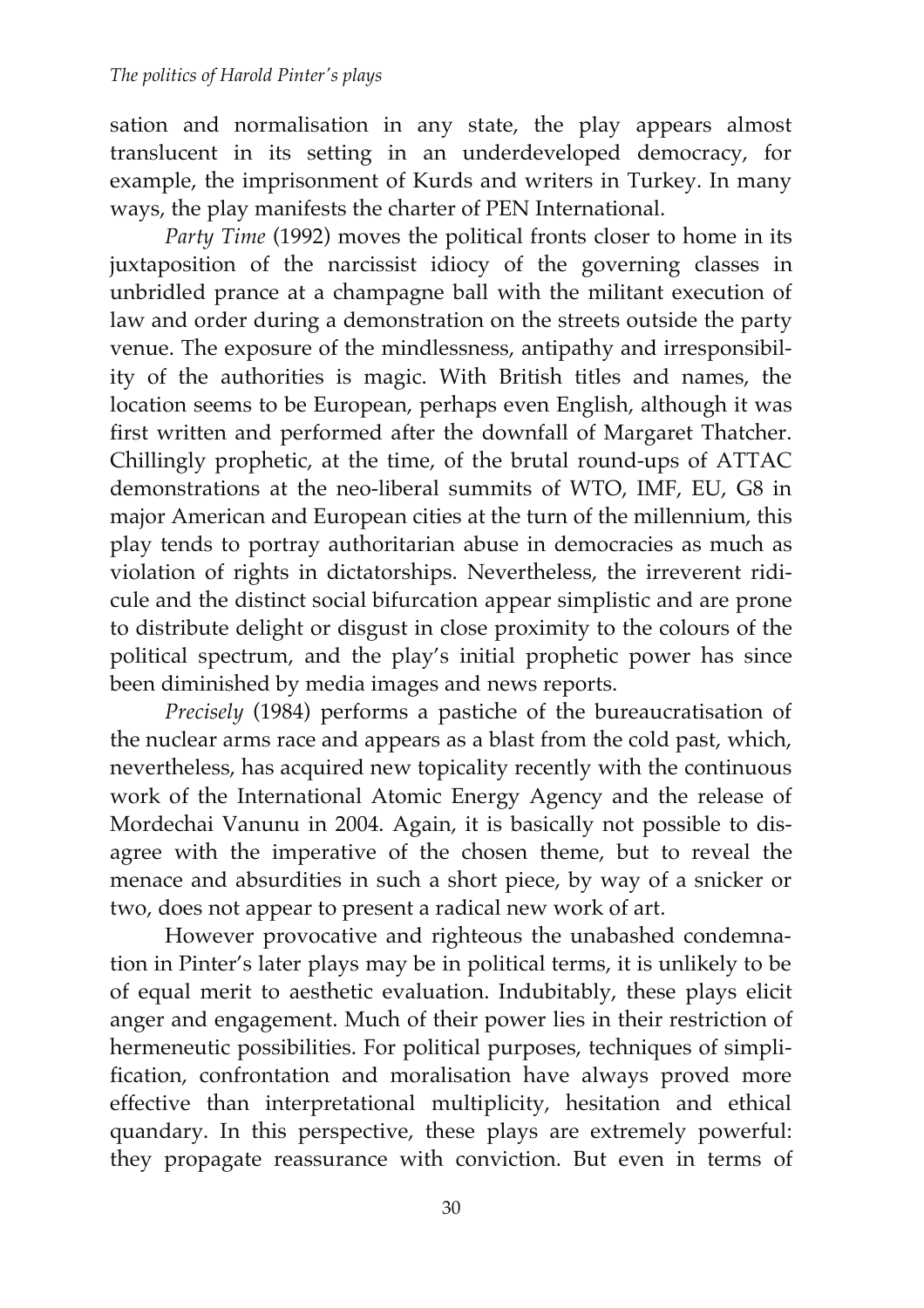sation and normalisation in any state, the play appears almost translucent in its setting in an underdeveloped democracy, for example, the imprisonment of Kurds and writers in Turkey. In many ways, the play manifests the charter of PEN International.

*Party Time* (1992) moves the political fronts closer to home in its juxtaposition of the narcissist idiocy of the governing classes in unbridled prance at a champagne ball with the militant execution of law and order during a demonstration on the streets outside the party venue. The exposure of the mindlessness, antipathy and irresponsibility of the authorities is magic. With British titles and names, the location seems to be European, perhaps even English, although it was first written and performed after the downfall of Margaret Thatcher. Chillingly prophetic, at the time, of the brutal round-ups of ATTAC demonstrations at the neo-liberal summits of WTO, IMF, EU, G8 in major American and European cities at the turn of the millennium, this play tends to portray authoritarian abuse in democracies as much as violation of rights in dictatorships. Nevertheless, the irreverent ridicule and the distinct social bifurcation appear simplistic and are prone to distribute delight or disgust in close proximity to the colours of the political spectrum, and the play's initial prophetic power has since been diminished by media images and news reports.

*Precisely* (1984) performs a pastiche of the bureaucratisation of the nuclear arms race and appears as a blast from the cold past, which, nevertheless, has acquired new topicality recently with the continuous work of the International Atomic Energy Agency and the release of Mordechai Vanunu in 2004. Again, it is basically not possible to disagree with the imperative of the chosen theme, but to reveal the menace and absurdities in such a short piece, by way of a snicker or two, does not appear to present a radical new work of art.

However provocative and righteous the unabashed condemnation in Pinter's later plays may be in political terms, it is unlikely to be of equal merit to aesthetic evaluation. Indubitably, these plays elicit anger and engagement. Much of their power lies in their restriction of hermeneutic possibilities. For political purposes, techniques of simplification, confrontation and moralisation have always proved more effective than interpretational multiplicity, hesitation and ethical quandary. In this perspective, these plays are extremely powerful: they propagate reassurance with conviction. But even in terms of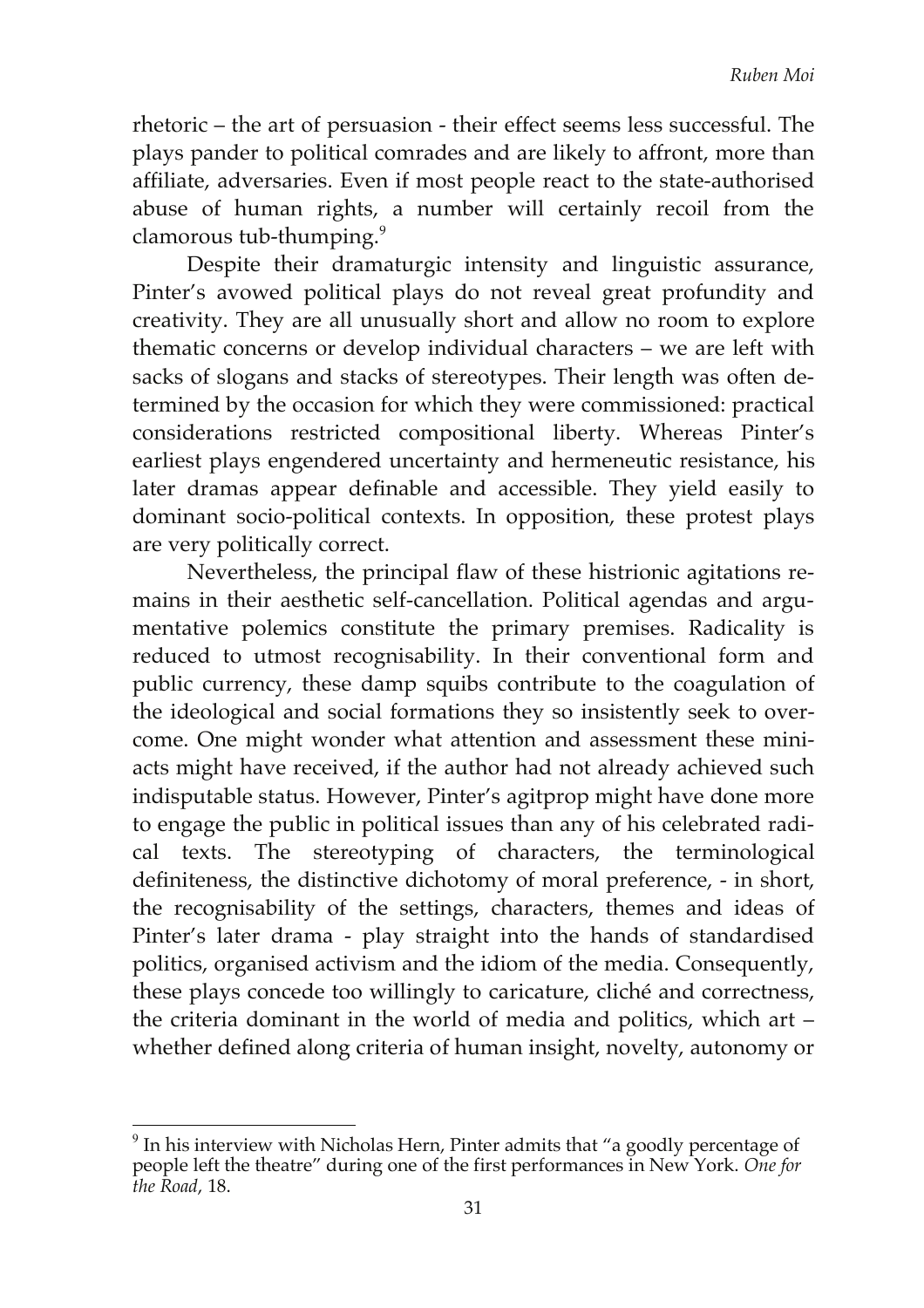rhetoric – the art of persuasion - their effect seems less successful. The plays pander to political comrades and are likely to affront, more than affiliate, adversaries. Even if most people react to the state-authorised abuse of human rights, a number will certainly recoil from the clamorous tub-thumping.<sup>9</sup>

Despite their dramaturgic intensity and linguistic assurance, Pinter's avowed political plays do not reveal great profundity and creativity. They are all unusually short and allow no room to explore thematic concerns or develop individual characters – we are left with sacks of slogans and stacks of stereotypes. Their length was often determined by the occasion for which they were commissioned: practical considerations restricted compositional liberty. Whereas Pinter's earliest plays engendered uncertainty and hermeneutic resistance, his later dramas appear definable and accessible. They yield easily to dominant socio-political contexts. In opposition, these protest plays are very politically correct.

Nevertheless, the principal flaw of these histrionic agitations remains in their aesthetic self-cancellation. Political agendas and argumentative polemics constitute the primary premises. Radicality is reduced to utmost recognisability. In their conventional form and public currency, these damp squibs contribute to the coagulation of the ideological and social formations they so insistently seek to overcome. One might wonder what attention and assessment these miniacts might have received, if the author had not already achieved such indisputable status. However, Pinter's agitprop might have done more to engage the public in political issues than any of his celebrated radical texts. The stereotyping of characters, the terminological definiteness, the distinctive dichotomy of moral preference, - in short, the recognisability of the settings, characters, themes and ideas of Pinter's later drama - play straight into the hands of standardised politics, organised activism and the idiom of the media. Consequently, these plays concede too willingly to caricature, cliché and correctness, the criteria dominant in the world of media and politics, which art – whether defined along criteria of human insight, novelty, autonomy or

 $9$  In his interview with Nicholas Hern, Pinter admits that "a goodly percentage of people left the theatre" during one of the first performances in New York. *One for the Road*, 18.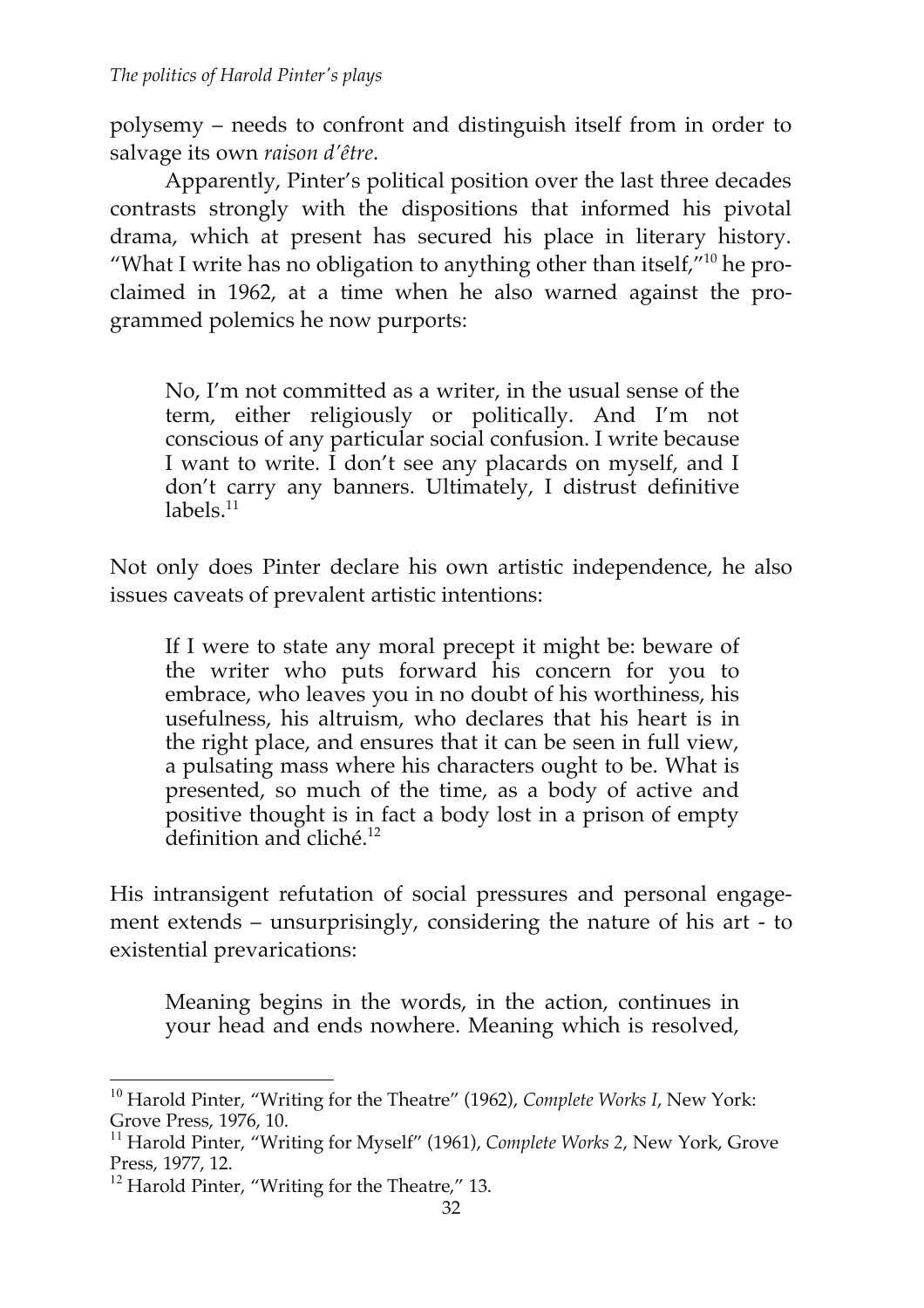polysemy – needs to confront and distinguish itself from in order to salvage its own *raison d'être*.

Apparently, Pinter's political position over the last three decades contrasts strongly with the dispositions that informed his pivotal drama, which at present has secured his place in literary history. "What I write has no obligation to anything other than itself," $10$  he proclaimed in 1962, at a time when he also warned against the programmed polemics he now purports:

No, I'm not committed as a writer, in the usual sense of the term, either religiously or politically. And I'm not conscious of any particular social confusion. I write because I want to write. I don't see any placards on myself, and I don't carry any banners. Ultimately, I distrust definitive  $labels.<sup>11</sup>$ 

Not only does Pinter declare his own artistic independence, he also issues caveats of prevalent artistic intentions:

If I were to state any moral precept it might be: beware of the writer who puts forward his concern for you to embrace, who leaves you in no doubt of his worthiness, his usefulness, his altruism, who declares that his heart is in the right place, and ensures that it can be seen in full view, a pulsating mass where his characters ought to be. What is presented, so much of the time, as a body of active and positive thought is in fact a body lost in a prison of empty definition and cliché. $12$ 

His intransigent refutation of social pressures and personal engagement extends – unsurprisingly, considering the nature of his art - to existential prevarications:

Meaning begins in the words, in the action, continues in your head and ends nowhere. Meaning which is resolved,

<sup>1</sup> <sup>10</sup> Harold Pinter, "Writing for the Theatre" (1962), *Complete Works I*, New York: Grove Press, 1976, 10.

<sup>&</sup>lt;sup>11</sup> Harold Pinter, "Writing for Myself" (1961), *Complete Works 2*, New York, Grove Press, 1977, 12.

<sup>&</sup>lt;sup>12</sup> Harold Pinter, "Writing for the Theatre," 13.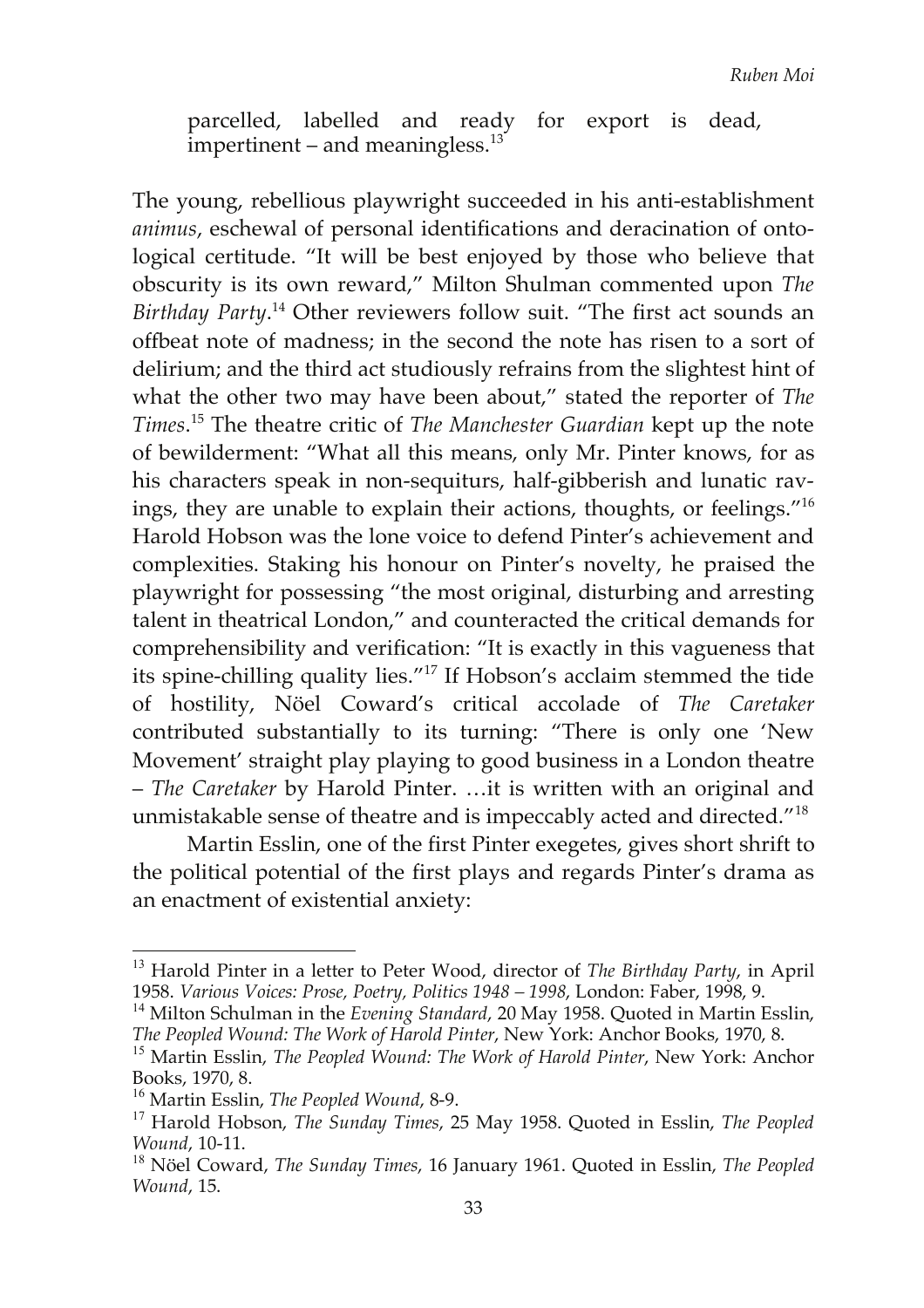parcelled, labelled and ready for export is dead,  $im$ pertinent – and meaningless.<sup>13</sup>

The young, rebellious playwright succeeded in his anti-establishment *animus*, eschewal of personal identifications and deracination of ontological certitude. "It will be best enjoyed by those who believe that obscurity is its own reward," Milton Shulman commented upon *The Birthday Party*. 14 Other reviewers follow suit. "The first act sounds an offbeat note of madness; in the second the note has risen to a sort of delirium; and the third act studiously refrains from the slightest hint of what the other two may have been about," stated the reporter of *The Times*. 15 The theatre critic of *The Manchester Guardian* kept up the note of bewilderment: "What all this means, only Mr. Pinter knows, for as his characters speak in non-sequiturs, half-gibberish and lunatic ravings, they are unable to explain their actions, thoughts, or feelings."16 Harold Hobson was the lone voice to defend Pinter's achievement and complexities. Staking his honour on Pinter's novelty, he praised the playwright for possessing "the most original, disturbing and arresting talent in theatrical London," and counteracted the critical demands for comprehensibility and verification: "It is exactly in this vagueness that its spine-chilling quality lies."17 If Hobson's acclaim stemmed the tide of hostility, Nöel Coward's critical accolade of *The Caretaker* contributed substantially to its turning: "There is only one 'New Movement' straight play playing to good business in a London theatre – *The Caretaker* by Harold Pinter. …it is written with an original and unmistakable sense of theatre and is impeccably acted and directed."18

Martin Esslin, one of the first Pinter exegetes, gives short shrift to the political potential of the first plays and regards Pinter's drama as an enactment of existential anxiety:

<sup>13</sup> Harold Pinter in a letter to Peter Wood, director of *The Birthday Party*, in April 1958. *Various Voices: Prose, Poetry, Politics 1948 – 1998*, London: Faber, 1998, 9.

<sup>&</sup>lt;sup>14</sup> Milton Schulman in the *Evening Standard*, 20 May 1958. Quoted in Martin Esslin, *The Peopled Wound: The Work of Harold Pinter*, New York: Anchor Books, 1970, 8.

<sup>15</sup> Martin Esslin, *The Peopled Wound: The Work of Harold Pinter*, New York: Anchor Books, 1970, 8.

<sup>16</sup> Martin Esslin, *The Peopled Wound*, 8-9.

<sup>17</sup> Harold Hobson, *The Sunday Times*, 25 May 1958. Quoted in Esslin, *The Peopled Wound*, 10-11.

<sup>18</sup> Nöel Coward, *The Sunday Times*, 16 January 1961. Quoted in Esslin, *The Peopled Wound*, 15.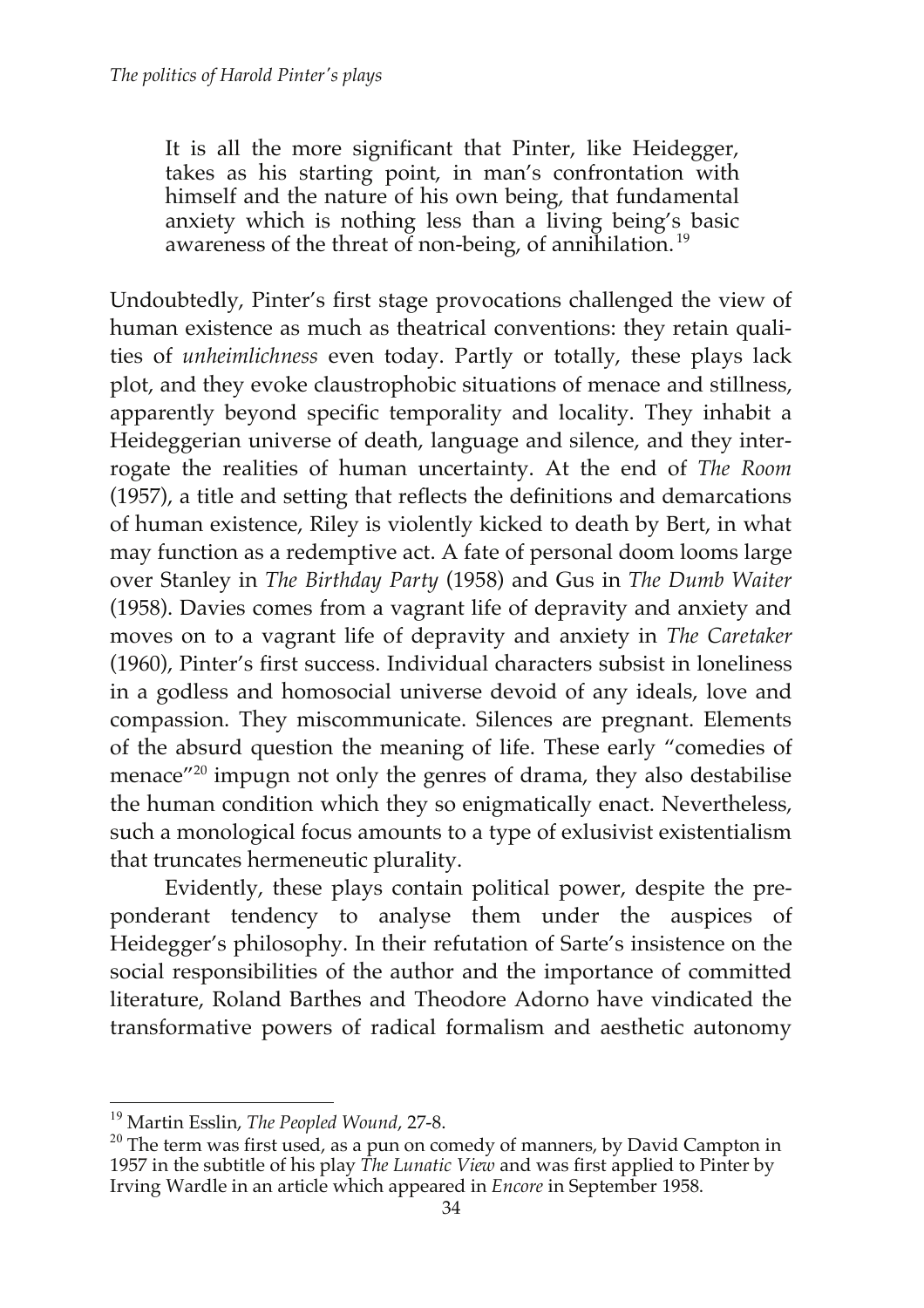It is all the more significant that Pinter, like Heidegger, takes as his starting point, in man's confrontation with himself and the nature of his own being, that fundamental anxiety which is nothing less than a living being's basic awareness of the threat of non-being, of annihilation.<sup>19</sup>

Undoubtedly, Pinter's first stage provocations challenged the view of human existence as much as theatrical conventions: they retain qualities of *unheimlichness* even today. Partly or totally, these plays lack plot, and they evoke claustrophobic situations of menace and stillness, apparently beyond specific temporality and locality. They inhabit a Heideggerian universe of death, language and silence, and they interrogate the realities of human uncertainty. At the end of *The Room* (1957), a title and setting that reflects the definitions and demarcations of human existence, Riley is violently kicked to death by Bert, in what may function as a redemptive act. A fate of personal doom looms large over Stanley in *The Birthday Party* (1958) and Gus in *The Dumb Waiter* (1958). Davies comes from a vagrant life of depravity and anxiety and moves on to a vagrant life of depravity and anxiety in *The Caretaker* (1960), Pinter's first success. Individual characters subsist in loneliness in a godless and homosocial universe devoid of any ideals, love and compassion. They miscommunicate. Silences are pregnant. Elements of the absurd question the meaning of life. These early "comedies of menace<sup>"20</sup> impugn not only the genres of drama, they also destabilise the human condition which they so enigmatically enact. Nevertheless, such a monological focus amounts to a type of exlusivist existentialism that truncates hermeneutic plurality.

Evidently, these plays contain political power, despite the preponderant tendency to analyse them under the auspices of Heidegger's philosophy. In their refutation of Sarte's insistence on the social responsibilities of the author and the importance of committed literature, Roland Barthes and Theodore Adorno have vindicated the transformative powers of radical formalism and aesthetic autonomy

1

<sup>19</sup> Martin Esslin, *The Peopled Wound*, 27-8.

<sup>&</sup>lt;sup>20</sup> The term was first used, as a pun on comedy of manners, by David Campton in 1957 in the subtitle of his play *The Lunatic View* and was first applied to Pinter by Irving Wardle in an article which appeared in *Encore* in September 1958.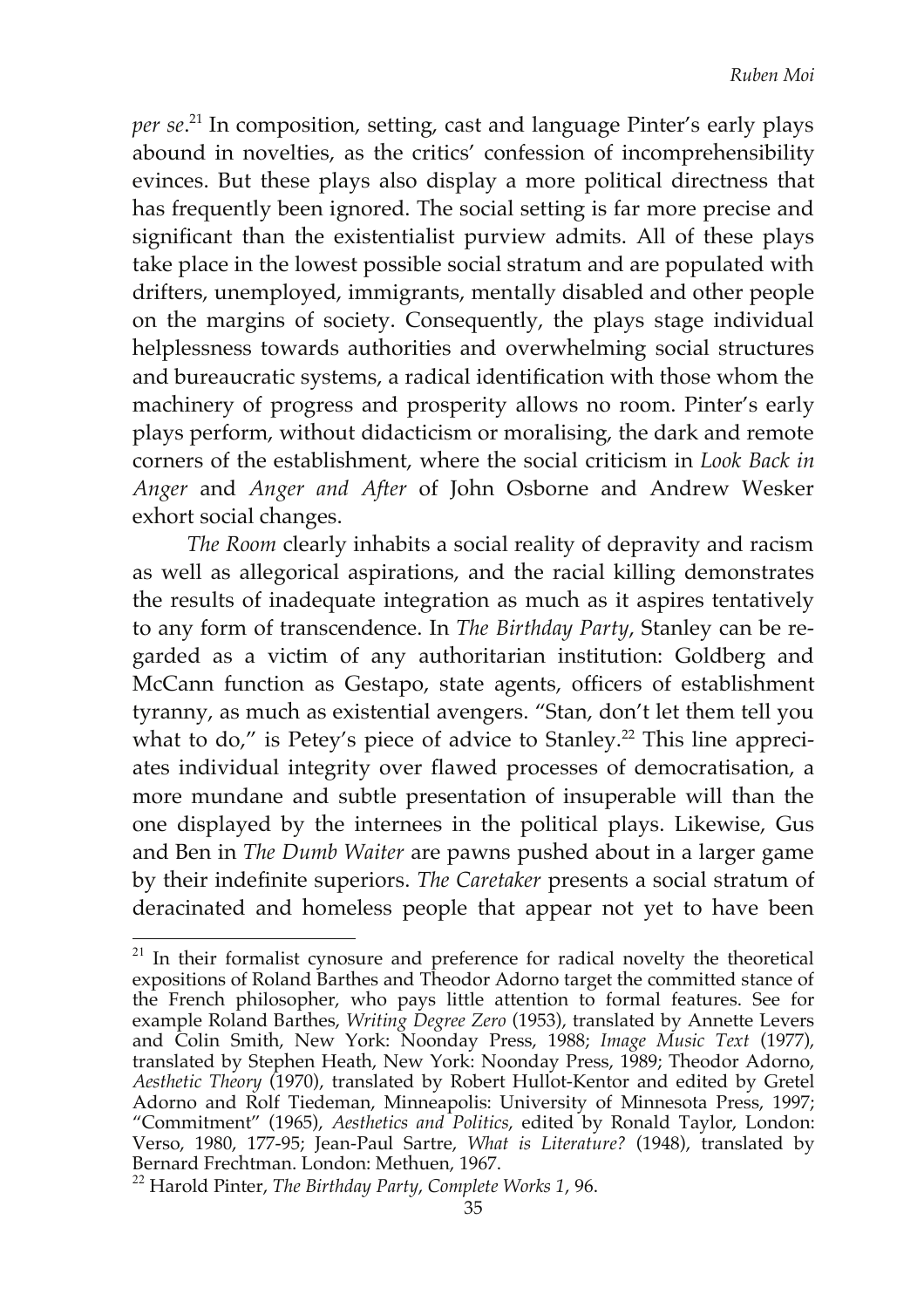*per se*. 21 In composition, setting, cast and language Pinter's early plays abound in novelties, as the critics' confession of incomprehensibility evinces. But these plays also display a more political directness that has frequently been ignored. The social setting is far more precise and significant than the existentialist purview admits. All of these plays take place in the lowest possible social stratum and are populated with drifters, unemployed, immigrants, mentally disabled and other people on the margins of society. Consequently, the plays stage individual helplessness towards authorities and overwhelming social structures and bureaucratic systems, a radical identification with those whom the machinery of progress and prosperity allows no room. Pinter's early plays perform, without didacticism or moralising, the dark and remote corners of the establishment, where the social criticism in *Look Back in Anger* and *Anger and After* of John Osborne and Andrew Wesker exhort social changes.

*The Room* clearly inhabits a social reality of depravity and racism as well as allegorical aspirations, and the racial killing demonstrates the results of inadequate integration as much as it aspires tentatively to any form of transcendence. In *The Birthday Party*, Stanley can be regarded as a victim of any authoritarian institution: Goldberg and McCann function as Gestapo, state agents, officers of establishment tyranny, as much as existential avengers. "Stan, don't let them tell you what to do," is Petey's piece of advice to Stanley.<sup>22</sup> This line appreciates individual integrity over flawed processes of democratisation, a more mundane and subtle presentation of insuperable will than the one displayed by the internees in the political plays. Likewise, Gus and Ben in *The Dumb Waiter* are pawns pushed about in a larger game by their indefinite superiors. *The Caretaker* presents a social stratum of deracinated and homeless people that appear not yet to have been

 $21$  In their formalist cynosure and preference for radical novelty the theoretical expositions of Roland Barthes and Theodor Adorno target the committed stance of the French philosopher, who pays little attention to formal features. See for example Roland Barthes, *Writing Degree Zero* (1953), translated by Annette Levers and Colin Smith, New York: Noonday Press, 1988; *Image Music Text* (1977), translated by Stephen Heath, New York: Noonday Press, 1989; Theodor Adorno, *Aesthetic Theory* (1970), translated by Robert Hullot-Kentor and edited by Gretel Adorno and Rolf Tiedeman, Minneapolis: University of Minnesota Press, 1997; "Commitment" (1965), *Aesthetics and Politics*, edited by Ronald Taylor, London: Verso, 1980, 177-95; Jean-Paul Sartre, *What is Literature?* (1948), translated by Bernard Frechtman. London: Methuen, 1967.

<sup>22</sup> Harold Pinter, *The Birthday Party*, *Complete Works 1*, 96.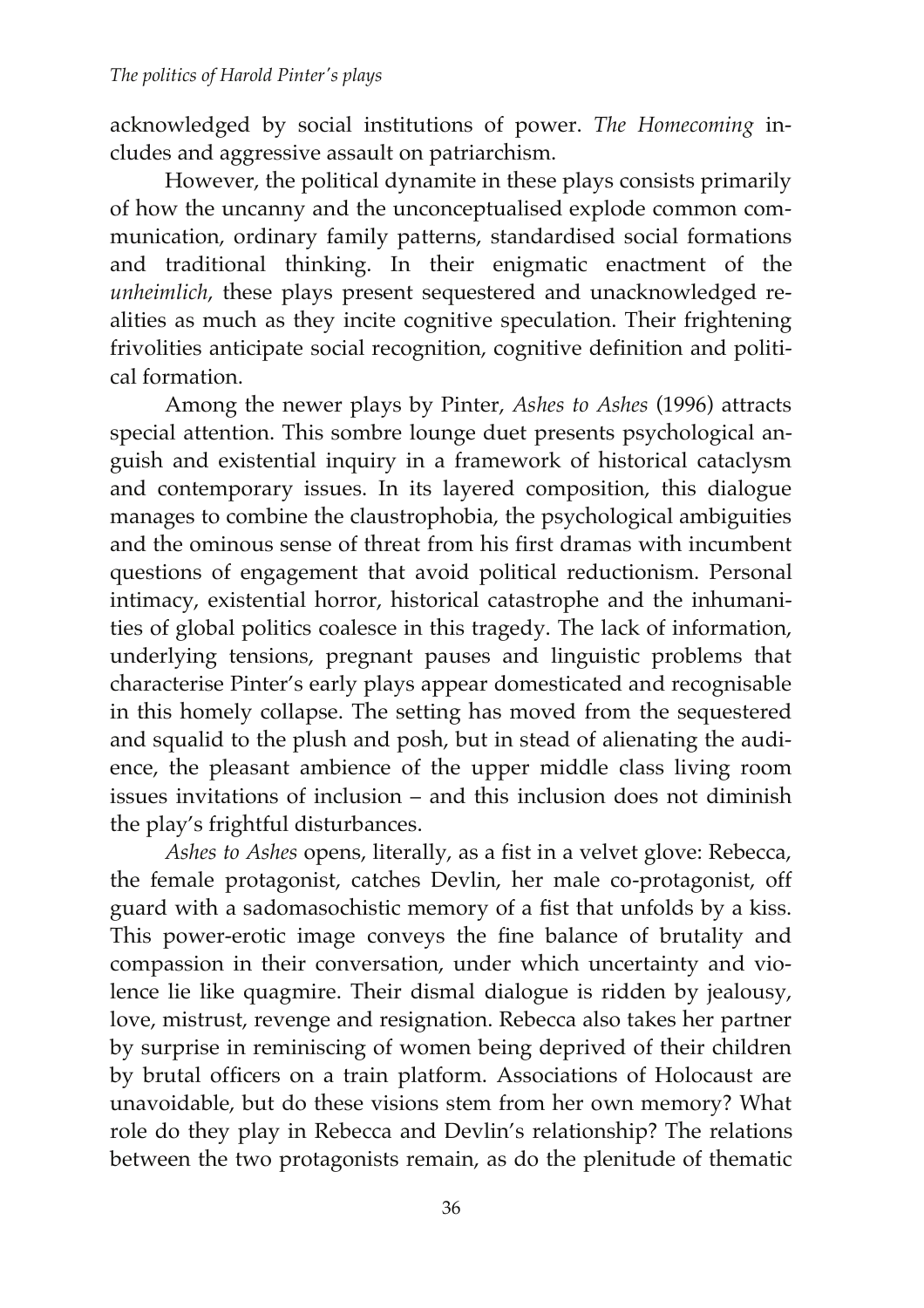acknowledged by social institutions of power. *The Homecoming* includes and aggressive assault on patriarchism.

However, the political dynamite in these plays consists primarily of how the uncanny and the unconceptualised explode common communication, ordinary family patterns, standardised social formations and traditional thinking. In their enigmatic enactment of the *unheimlich*, these plays present sequestered and unacknowledged realities as much as they incite cognitive speculation. Their frightening frivolities anticipate social recognition, cognitive definition and political formation.

Among the newer plays by Pinter, *Ashes to Ashes* (1996) attracts special attention. This sombre lounge duet presents psychological anguish and existential inquiry in a framework of historical cataclysm and contemporary issues. In its layered composition, this dialogue manages to combine the claustrophobia, the psychological ambiguities and the ominous sense of threat from his first dramas with incumbent questions of engagement that avoid political reductionism. Personal intimacy, existential horror, historical catastrophe and the inhumanities of global politics coalesce in this tragedy. The lack of information, underlying tensions, pregnant pauses and linguistic problems that characterise Pinter's early plays appear domesticated and recognisable in this homely collapse. The setting has moved from the sequestered and squalid to the plush and posh, but in stead of alienating the audience, the pleasant ambience of the upper middle class living room issues invitations of inclusion – and this inclusion does not diminish the play's frightful disturbances.

*Ashes to Ashes* opens, literally, as a fist in a velvet glove: Rebecca, the female protagonist, catches Devlin, her male co-protagonist, off guard with a sadomasochistic memory of a fist that unfolds by a kiss. This power-erotic image conveys the fine balance of brutality and compassion in their conversation, under which uncertainty and violence lie like quagmire. Their dismal dialogue is ridden by jealousy, love, mistrust, revenge and resignation. Rebecca also takes her partner by surprise in reminiscing of women being deprived of their children by brutal officers on a train platform. Associations of Holocaust are unavoidable, but do these visions stem from her own memory? What role do they play in Rebecca and Devlin's relationship? The relations between the two protagonists remain, as do the plenitude of thematic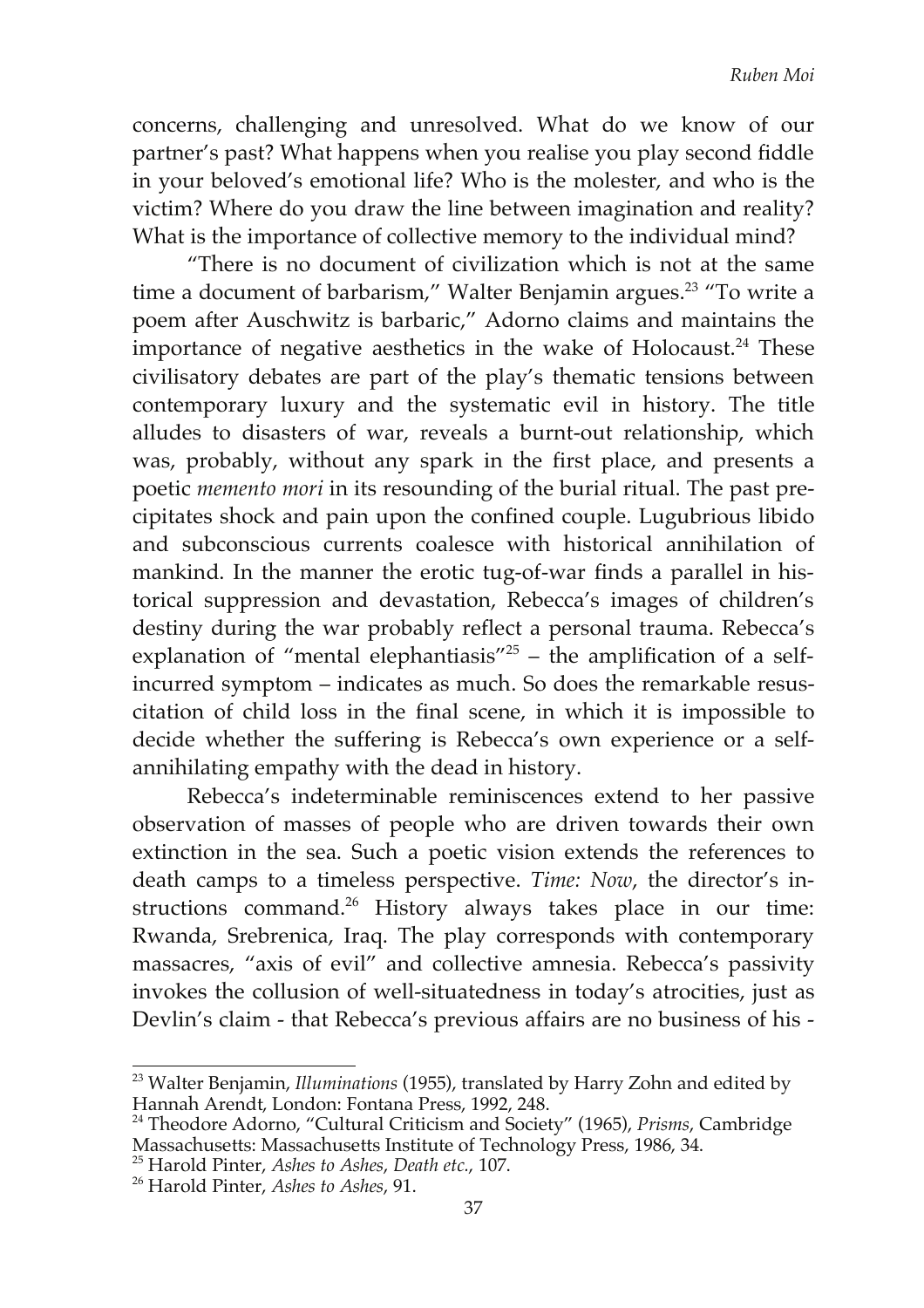concerns, challenging and unresolved. What do we know of our partner's past? What happens when you realise you play second fiddle in your beloved's emotional life? Who is the molester, and who is the victim? Where do you draw the line between imagination and reality? What is the importance of collective memory to the individual mind?

"There is no document of civilization which is not at the same time a document of barbarism," Walter Benjamin argues.<sup>23</sup> "To write a poem after Auschwitz is barbaric," Adorno claims and maintains the importance of negative aesthetics in the wake of Holocaust.<sup>24</sup> These civilisatory debates are part of the play's thematic tensions between contemporary luxury and the systematic evil in history. The title alludes to disasters of war, reveals a burnt-out relationship, which was, probably, without any spark in the first place, and presents a poetic *memento mori* in its resounding of the burial ritual. The past precipitates shock and pain upon the confined couple. Lugubrious libido and subconscious currents coalesce with historical annihilation of mankind. In the manner the erotic tug-of-war finds a parallel in historical suppression and devastation, Rebecca's images of children's destiny during the war probably reflect a personal trauma. Rebecca's explanation of "mental elephantiasis"<sup>25</sup> – the amplification of a selfincurred symptom – indicates as much. So does the remarkable resuscitation of child loss in the final scene, in which it is impossible to decide whether the suffering is Rebecca's own experience or a selfannihilating empathy with the dead in history.

Rebecca's indeterminable reminiscences extend to her passive observation of masses of people who are driven towards their own extinction in the sea. Such a poetic vision extends the references to death camps to a timeless perspective. *Time: Now*, the director's instructions command.<sup>26</sup> History always takes place in our time: Rwanda, Srebrenica, Iraq. The play corresponds with contemporary massacres, "axis of evil" and collective amnesia. Rebecca's passivity invokes the collusion of well-situatedness in today's atrocities, just as Devlin's claim - that Rebecca's previous affairs are no business of his -

 $\overline{a}$ 23 Walter Benjamin, *Illuminations* (1955), translated by Harry Zohn and edited by Hannah Arendt, London: Fontana Press, 1992, 248.

<sup>24</sup> Theodore Adorno, "Cultural Criticism and Society" (1965), *Prisms*, Cambridge Massachusetts: Massachusetts Institute of Technology Press, 1986, 34.

<sup>25</sup> Harold Pinter, *Ashes to Ashes*, *Death etc.*, 107.

<sup>26</sup> Harold Pinter, *Ashes to Ashes*, 91.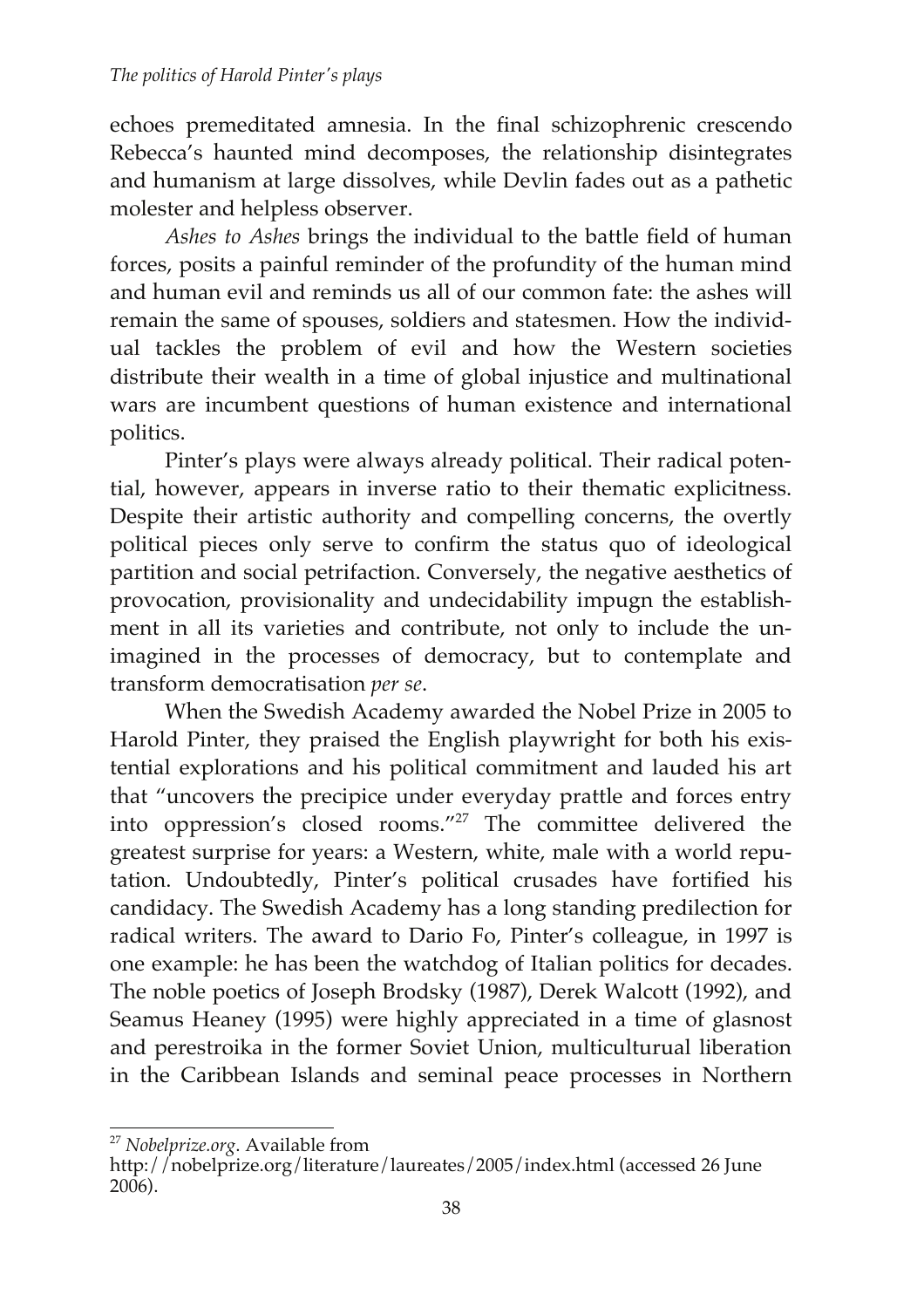echoes premeditated amnesia. In the final schizophrenic crescendo Rebecca's haunted mind decomposes, the relationship disintegrates and humanism at large dissolves, while Devlin fades out as a pathetic molester and helpless observer.

*Ashes to Ashes* brings the individual to the battle field of human forces, posits a painful reminder of the profundity of the human mind and human evil and reminds us all of our common fate: the ashes will remain the same of spouses, soldiers and statesmen. How the individual tackles the problem of evil and how the Western societies distribute their wealth in a time of global injustice and multinational wars are incumbent questions of human existence and international politics.

Pinter's plays were always already political. Their radical potential, however, appears in inverse ratio to their thematic explicitness. Despite their artistic authority and compelling concerns, the overtly political pieces only serve to confirm the status quo of ideological partition and social petrifaction. Conversely, the negative aesthetics of provocation, provisionality and undecidability impugn the establishment in all its varieties and contribute, not only to include the unimagined in the processes of democracy, but to contemplate and transform democratisation *per se*.

When the Swedish Academy awarded the Nobel Prize in 2005 to Harold Pinter, they praised the English playwright for both his existential explorations and his political commitment and lauded his art that "uncovers the precipice under everyday prattle and forces entry into oppression's closed rooms."27 The committee delivered the greatest surprise for years: a Western, white, male with a world reputation. Undoubtedly, Pinter's political crusades have fortified his candidacy. The Swedish Academy has a long standing predilection for radical writers. The award to Dario Fo, Pinter's colleague, in 1997 is one example: he has been the watchdog of Italian politics for decades. The noble poetics of Joseph Brodsky (1987), Derek Walcott (1992), and Seamus Heaney (1995) were highly appreciated in a time of glasnost and perestroika in the former Soviet Union, multiculturual liberation in the Caribbean Islands and seminal peace processes in Northern

<u>.</u> <sup>27</sup> *Nobelprize.org*. Available from

http://nobelprize.org/literature/laureates/2005/index.html (accessed 26 June  $2006$ ).